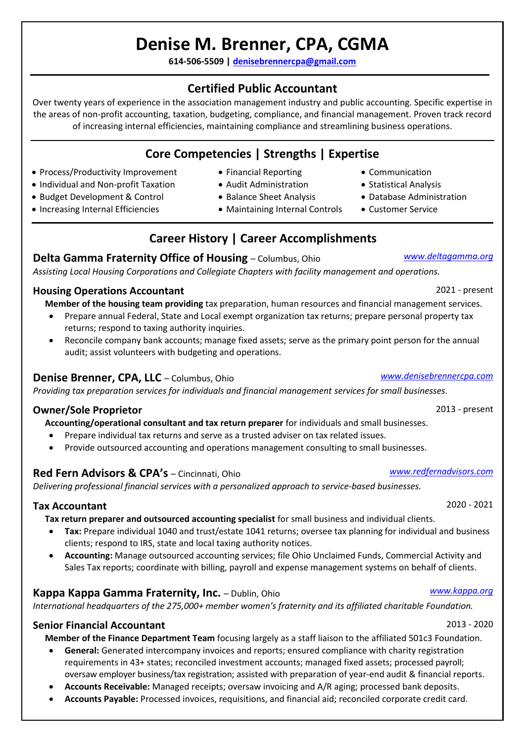# **Denise M. Brenner, CPA, CGMA**

**614-506-5509 | [denisebrennercpa@gmail.com](mailto:denisebrennercpa@gmail.com)**

## **Certified Public Accountant**

Over twenty years of experience in the association management industry and public accounting. Specific expertise in the areas of non-profit accounting, taxation, budgeting, compliance, and financial management. Proven track record of increasing internal efficiencies, maintaining compliance and streamlining business operations.

# **Core Competencies | Strengths | Expertise**

- Process/Productivity Improvement
- Individual and Non-profit Taxation
- Budget Development & Control
- Increasing Internal Efficiencies
- Financial Reporting
- Audit Administration
- Balance Sheet Analysis
- Maintaining Internal Controls

# **Career History | Career Accomplishments**

#### **Delta Gamma Fraternity Office of Housing** – Columbus, Ohio *www.deltagamma.org*

*Assisting Local Housing Corporations and Collegiate Chapters with facility management and operations.*

#### **Housing Operations Accountant** 2021 - present

**Member of the housing team providing** tax preparation, human resources and financial management services.

- Prepare annual Federal, State and Local exempt organization tax returns; prepare personal property tax returns; respond to taxing authority inquiries.
- Reconcile company bank accounts; manage fixed assets; serve as the primary point person for the annual audit; assist volunteers with budgeting and operations.

## **Denise Brenner, CPA, LLC** – Columbus, Ohio *[www.denisebrennercpa.com](http://www.denisebrennercpa.com/)*

*Providing tax preparation services for individuals and financial management services for small businesses.*

### **Owner/Sole Proprietor** 2013 - present

**Accounting/operational consultant and tax return preparer** for individuals and small businesses.

- Prepare individual tax returns and serve as a trusted adviser on tax related issues.
- Provide outsourced accounting and operations management consulting to small businesses.

### **Red Fern Advisors & CPA's** – Cincinnati, Ohio *[www.r](http://www./)edfernadvisors.com*

*Delivering professional financial services with a personalized approach to service-based businesses.*

#### **Tax Accountant** 2020 - 2021

**Tax return preparer and outsourced accounting specialist** for small business and individual clients.

- **Tax:** Prepare individual 1040 and trust/estate 1041 returns; oversee tax planning for individual and business clients; respond to IRS, state and local taxing authority notices.
- **Accounting:** Manage outsourced accounting services; file Ohio Unclaimed Funds, Commercial Activity and Sales Tax reports; coordinate with billing, payroll and expense management systems on behalf of clients.

### **Kappa Kappa Gamma Fraternity, Inc.** – Dublin, Ohio *[www.kappa.org](http://www.kappa.org/)*

*International headquarters of the 275,000+ member women's fraternity and its affiliated charitable Foundation.*

### **Senior Financial Accountant** 2013 - 2020

**Member of the Finance Department Team** focusing largely as a staff liaison to the affiliated 501c3 Foundation.

- **General:** Generated intercompany invoices and reports; ensured compliance with charity registration requirements in 43+ states; reconciled investment accounts; managed fixed assets; processed payroll; oversaw employer business/tax registration; assisted with preparation of year-end audit & financial reports.
- **Accounts Receivable:** Managed receipts; oversaw invoicing and A/R aging; processed bank deposits.
- **Accounts Payable:** Processed invoices, requisitions, and financial aid; reconciled corporate credit card.
- Statistical Analysis
- Database Administration
- Customer Service

• Communication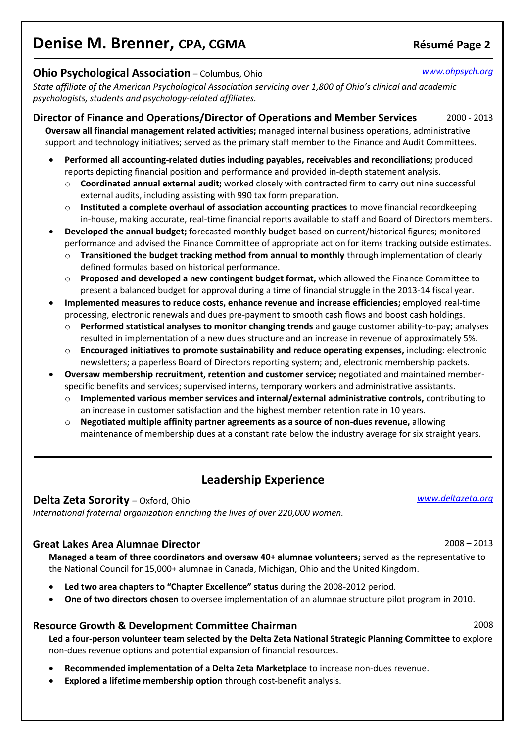# **Denise M. Brenner, CPA, CGMA Résumé** Page 2

#### **Ohio Psychological Association** – Columbus, Ohio *[www.ohpsych.org](http://www.ohpsych.org/)*

*State affiliate of the American Psychological Association servicing over 1,800 of Ohio's clinical and academic psychologists, students and psychology-related affiliates.*

**Director of Finance and Operations/Director of Operations and Member Services** 2000 - 2013 **Oversaw all financial management related activities;** managed internal business operations, administrative support and technology initiatives; served as the primary staff member to the Finance and Audit Committees.

- **Performed all accounting-related duties including payables, receivables and reconciliations;** produced reports depicting financial position and performance and provided in-depth statement analysis.
	- o **Coordinated annual external audit;** worked closely with contracted firm to carry out nine successful external audits, including assisting with 990 tax form preparation.
	- o **Instituted a complete overhaul of association accounting practices** to move financial recordkeeping in-house, making accurate, real-time financial reports available to staff and Board of Directors members.
- **Developed the annual budget;** forecasted monthly budget based on current/historical figures; monitored performance and advised the Finance Committee of appropriate action for items tracking outside estimates.
	- o **Transitioned the budget tracking method from annual to monthly** through implementation of clearly defined formulas based on historical performance.
	- o **Proposed and developed a new contingent budget format,** which allowed the Finance Committee to present a balanced budget for approval during a time of financial struggle in the 2013-14 fiscal year.
- **Implemented measures to reduce costs, enhance revenue and increase efficiencies;** employed real-time processing, electronic renewals and dues pre-payment to smooth cash flows and boost cash holdings.
	- o **Performed statistical analyses to monitor changing trends** and gauge customer ability-to-pay; analyses resulted in implementation of a new dues structure and an increase in revenue of approximately 5%.
	- o **Encouraged initiatives to promote sustainability and reduce operating expenses,** including: electronic newsletters; a paperless Board of Directors reporting system; and, electronic membership packets.
- **Oversaw membership recruitment, retention and customer service;** negotiated and maintained memberspecific benefits and services; supervised interns, temporary workers and administrative assistants.
	- o **Implemented various member services and internal/external administrative controls,** contributing to an increase in customer satisfaction and the highest member retention rate in 10 years.
	- o **Negotiated multiple affinity partner agreements as a source of non-dues revenue,** allowing maintenance of membership dues at a constant rate below the industry average for six straight years.

## **Leadership Experience**

#### **Delta Zeta Sorority** – Oxford, Ohio *[www.deltazeta.org](http://www.deltazeta.org/)*

*International fraternal organization enriching the lives of over 220,000 women.*

### **Great Lakes Area Alumnae Director** 2008 – 2013

**Managed a team of three coordinators and oversaw 40+ alumnae volunteers;** served as the representative to the National Council for 15,000+ alumnae in Canada, Michigan, Ohio and the United Kingdom.

- **Led two area chapters to "Chapter Excellence" status** during the 2008-2012 period.
- **One of two directors chosen** to oversee implementation of an alumnae structure pilot program in 2010.

#### **Resource Growth & Development Committee Chairman** 2008

**Led a four-person volunteer team selected by the Delta Zeta National Strategic Planning Committee** to explore non-dues revenue options and potential expansion of financial resources.

- **Recommended implementation of a Delta Zeta Marketplace** to increase non-dues revenue.
- **Explored a lifetime membership option** through cost-benefit analysis.